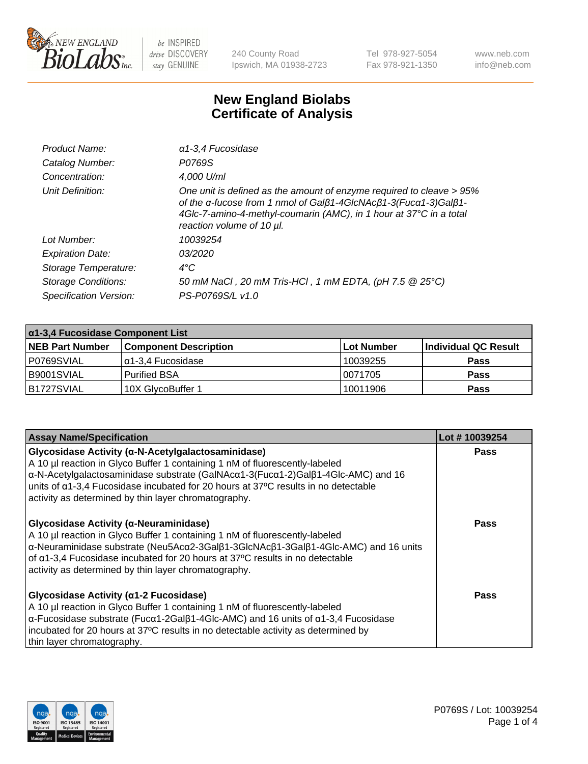

240 County Road Ipswich, MA 01938-2723 Tel 978-927-5054 Fax 978-921-1350 www.neb.com info@neb.com

## **New England Biolabs Certificate of Analysis**

| Product Name:              | $\alpha$ 1-3,4 Fucosidase                                                                                                                                                                                                                  |
|----------------------------|--------------------------------------------------------------------------------------------------------------------------------------------------------------------------------------------------------------------------------------------|
| Catalog Number:            | P0769S                                                                                                                                                                                                                                     |
| Concentration:             | 4,000 U/ml                                                                                                                                                                                                                                 |
| Unit Definition:           | One unit is defined as the amount of enzyme required to cleave > 95%<br>of the α-fucose from 1 nmol of Galβ1-4GlcNAcβ1-3(Fucα1-3)Galβ1-<br>4Glc-7-amino-4-methyl-coumarin (AMC), in 1 hour at 37°C in a total<br>reaction volume of 10 µl. |
| Lot Number:                | 10039254                                                                                                                                                                                                                                   |
| <b>Expiration Date:</b>    | 03/2020                                                                                                                                                                                                                                    |
| Storage Temperature:       | $4^{\circ}$ C                                                                                                                                                                                                                              |
| <b>Storage Conditions:</b> | 50 mM NaCl, 20 mM Tris-HCl, 1 mM EDTA, (pH 7.5 @ 25°C)                                                                                                                                                                                     |
| Specification Version:     | PS-P0769S/L v1.0                                                                                                                                                                                                                           |

| $\alpha$ 1-3,4 Fucosidase Component List |                              |            |                      |  |
|------------------------------------------|------------------------------|------------|----------------------|--|
| <b>NEB Part Number</b>                   | <b>Component Description</b> | Lot Number | Individual QC Result |  |
| P0769SVIAL                               | α1-3,4 Fucosidase            | 10039255   | <b>Pass</b>          |  |
| B9001SVIAL                               | <b>Purified BSA</b>          | 10071705   | <b>Pass</b>          |  |
| B1727SVIAL                               | 10X GlycoBuffer 1            | 10011906   | <b>Pass</b>          |  |

| <b>Assay Name/Specification</b>                                                                                                                                                                                                                                                                                                                                                                       | Lot #10039254 |
|-------------------------------------------------------------------------------------------------------------------------------------------------------------------------------------------------------------------------------------------------------------------------------------------------------------------------------------------------------------------------------------------------------|---------------|
| Glycosidase Activity (a-N-Acetylgalactosaminidase)<br>A 10 µl reaction in Glyco Buffer 1 containing 1 nM of fluorescently-labeled<br>$\alpha$ -N-Acetylgalactosaminidase substrate (GalNAc $\alpha$ 1-3(Fuc $\alpha$ 1-2)Gal $\beta$ 1-4Glc-AMC) and 16<br>units of a1-3,4 Fucosidase incubated for 20 hours at 37°C results in no detectable<br>activity as determined by thin layer chromatography. | <b>Pass</b>   |
| Glycosidase Activity (α-Neuraminidase)<br>A 10 µl reaction in Glyco Buffer 1 containing 1 nM of fluorescently-labeled<br>α-Neuraminidase substrate (Neu5Acα2-3Galβ1-3GlcNAcβ1-3Galβ1-4Glc-AMC) and 16 units<br>of α1-3,4 Fucosidase incubated for 20 hours at 37°C results in no detectable<br>activity as determined by thin layer chromatography.                                                   | Pass          |
| Glycosidase Activity (a1-2 Fucosidase)<br>A 10 µl reaction in Glyco Buffer 1 containing 1 nM of fluorescently-labeled<br>$\alpha$ -Fucosidase substrate (Fuc $\alpha$ 1-2Gal $\beta$ 1-4Glc-AMC) and 16 units of $\alpha$ 1-3,4 Fucosidase<br>incubated for 20 hours at 37°C results in no detectable activity as determined by<br>thin layer chromatography.                                         | <b>Pass</b>   |

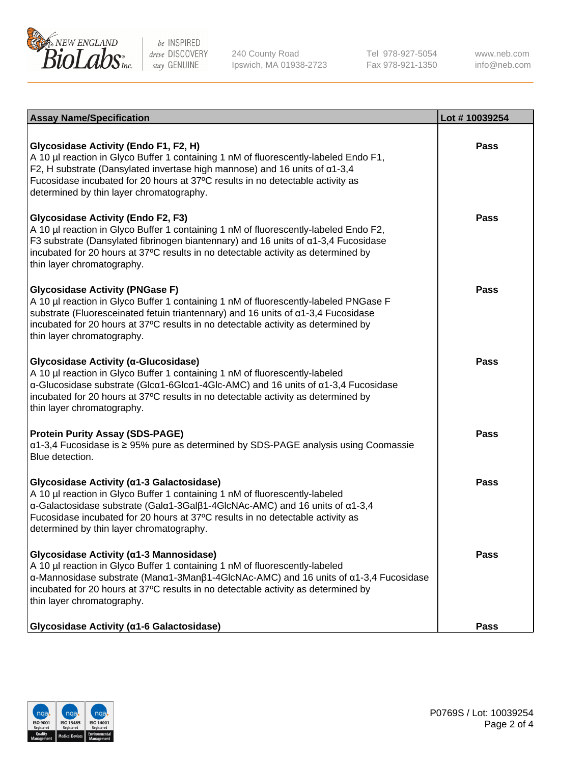

240 County Road Ipswich, MA 01938-2723 Tel 978-927-5054 Fax 978-921-1350 www.neb.com info@neb.com

| <b>Assay Name/Specification</b>                                                                                                                                                                                                                                                                                                                               | Lot #10039254 |
|---------------------------------------------------------------------------------------------------------------------------------------------------------------------------------------------------------------------------------------------------------------------------------------------------------------------------------------------------------------|---------------|
| Glycosidase Activity (Endo F1, F2, H)<br>A 10 µl reaction in Glyco Buffer 1 containing 1 nM of fluorescently-labeled Endo F1,<br>F2, H substrate (Dansylated invertase high mannose) and 16 units of $\alpha$ 1-3,4<br>Fucosidase incubated for 20 hours at 37°C results in no detectable activity as<br>determined by thin layer chromatography.             | <b>Pass</b>   |
| <b>Glycosidase Activity (Endo F2, F3)</b><br>A 10 µl reaction in Glyco Buffer 1 containing 1 nM of fluorescently-labeled Endo F2,<br>F3 substrate (Dansylated fibrinogen biantennary) and 16 units of $\alpha$ 1-3,4 Fucosidase<br>incubated for 20 hours at 37°C results in no detectable activity as determined by<br>thin layer chromatography.            | Pass          |
| <b>Glycosidase Activity (PNGase F)</b><br>A 10 µl reaction in Glyco Buffer 1 containing 1 nM of fluorescently-labeled PNGase F<br>substrate (Fluoresceinated fetuin triantennary) and 16 units of α1-3,4 Fucosidase<br>incubated for 20 hours at 37°C results in no detectable activity as determined by<br>thin layer chromatography.                        | <b>Pass</b>   |
| Glycosidase Activity (α-Glucosidase)<br>A 10 µl reaction in Glyco Buffer 1 containing 1 nM of fluorescently-labeled<br>$\alpha$ -Glucosidase substrate (Glc $\alpha$ 1-6Glc $\alpha$ 1-4Glc-AMC) and 16 units of $\alpha$ 1-3,4 Fucosidase<br>incubated for 20 hours at 37°C results in no detectable activity as determined by<br>thin layer chromatography. | Pass          |
| <b>Protein Purity Assay (SDS-PAGE)</b><br>α1-3,4 Fucosidase is ≥ 95% pure as determined by SDS-PAGE analysis using Coomassie<br>Blue detection.                                                                                                                                                                                                               | <b>Pass</b>   |
| Glycosidase Activity (α1-3 Galactosidase)<br>A 10 µl reaction in Glyco Buffer 1 containing 1 nM of fluorescently-labeled<br>α-Galactosidase substrate (Galα1-3Galβ1-4GlcNAc-AMC) and 16 units of α1-3,4<br>Fucosidase incubated for 20 hours at 37°C results in no detectable activity as<br>determined by thin layer chromatography.                         | Pass          |
| Glycosidase Activity (α1-3 Mannosidase)<br>A 10 µl reaction in Glyco Buffer 1 containing 1 nM of fluorescently-labeled<br>α-Mannosidase substrate (Manα1-3Manβ1-4GlcNAc-AMC) and 16 units of α1-3,4 Fucosidase<br>incubated for 20 hours at 37°C results in no detectable activity as determined by<br>thin layer chromatography.                             | Pass          |
| Glycosidase Activity (a1-6 Galactosidase)                                                                                                                                                                                                                                                                                                                     | Pass          |

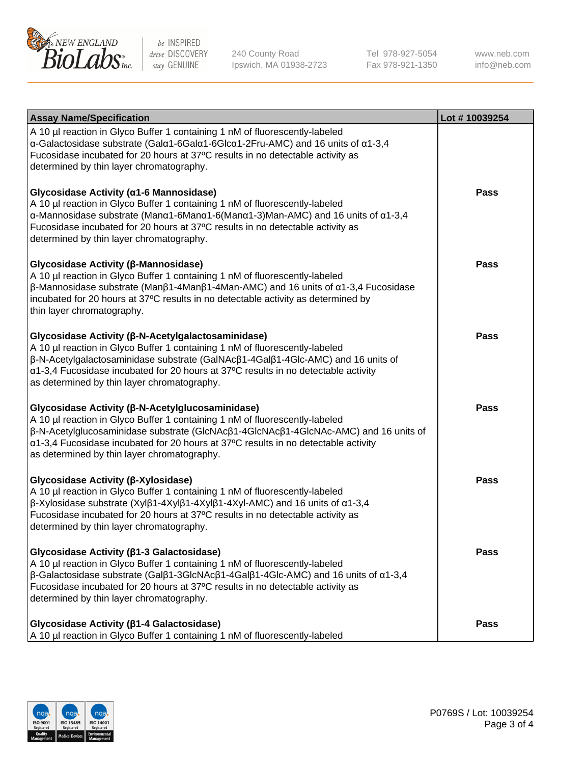

240 County Road Ipswich, MA 01938-2723 Tel 978-927-5054 Fax 978-921-1350 www.neb.com info@neb.com

| <b>Assay Name/Specification</b>                                                                                                                                                                                                                                                                                                                                                    | Lot #10039254 |
|------------------------------------------------------------------------------------------------------------------------------------------------------------------------------------------------------------------------------------------------------------------------------------------------------------------------------------------------------------------------------------|---------------|
| A 10 µl reaction in Glyco Buffer 1 containing 1 nM of fluorescently-labeled<br>α-Galactosidase substrate (Galα1-6Galα1-6Glcα1-2Fru-AMC) and 16 units of α1-3,4<br>Fucosidase incubated for 20 hours at 37°C results in no detectable activity as<br>determined by thin layer chromatography.                                                                                       |               |
| Glycosidase Activity (α1-6 Mannosidase)<br>A 10 µl reaction in Glyco Buffer 1 containing 1 nM of fluorescently-labeled<br>$\alpha$ -Mannosidase substrate (Man $\alpha$ 1-6Man $\alpha$ 1-6(Man $\alpha$ 1-3)Man-AMC) and 16 units of $\alpha$ 1-3,4<br>Fucosidase incubated for 20 hours at 37°C results in no detectable activity as<br>determined by thin layer chromatography. | <b>Pass</b>   |
| Glycosidase Activity (β-Mannosidase)<br>A 10 µl reaction in Glyco Buffer 1 containing 1 nM of fluorescently-labeled<br>$\beta$ -Mannosidase substrate (Μanβ1-4Μanβ1-4Μan-AMC) and 16 units of α1-3,4 Fucosidase<br>incubated for 20 hours at 37°C results in no detectable activity as determined by<br>thin layer chromatography.                                                 | <b>Pass</b>   |
| Glycosidase Activity (β-N-Acetylgalactosaminidase)<br>A 10 µl reaction in Glyco Buffer 1 containing 1 nM of fluorescently-labeled<br>β-N-Acetylgalactosaminidase substrate (GalNAcβ1-4Galβ1-4Glc-AMC) and 16 units of<br>α1-3,4 Fucosidase incubated for 20 hours at 37°C results in no detectable activity<br>as determined by thin layer chromatography.                         | <b>Pass</b>   |
| Glycosidase Activity (β-N-Acetylglucosaminidase)<br>A 10 µl reaction in Glyco Buffer 1 containing 1 nM of fluorescently-labeled<br>β-N-Acetylglucosaminidase substrate (GlcNAcβ1-4GlcNAcβ1-4GlcNAc-AMC) and 16 units of<br>$\alpha$ 1-3,4 Fucosidase incubated for 20 hours at 37°C results in no detectable activity<br>as determined by thin layer chromatography.               | Pass          |
| Glycosidase Activity (β-Xylosidase)<br>A 10 µl reaction in Glyco Buffer 1 containing 1 nM of fluorescently-labeled<br>$\beta$ -Xylosidase substrate (Xylβ1-4Xylβ1-4Xylβ1-4Xyl-AMC) and 16 units of $\alpha$ 1-3,4<br>Fucosidase incubated for 20 hours at 37°C results in no detectable activity as<br>determined by thin layer chromatography.                                    | <b>Pass</b>   |
| Glycosidase Activity (β1-3 Galactosidase)<br>A 10 µl reaction in Glyco Buffer 1 containing 1 nM of fluorescently-labeled<br>$\beta$ -Galactosidase substrate (Galβ1-3GlcNAcβ1-4Galβ1-4Glc-AMC) and 16 units of α1-3,4<br>Fucosidase incubated for 20 hours at 37°C results in no detectable activity as<br>determined by thin layer chromatography.                                | Pass          |
| Glycosidase Activity (β1-4 Galactosidase)<br>A 10 µl reaction in Glyco Buffer 1 containing 1 nM of fluorescently-labeled                                                                                                                                                                                                                                                           | <b>Pass</b>   |